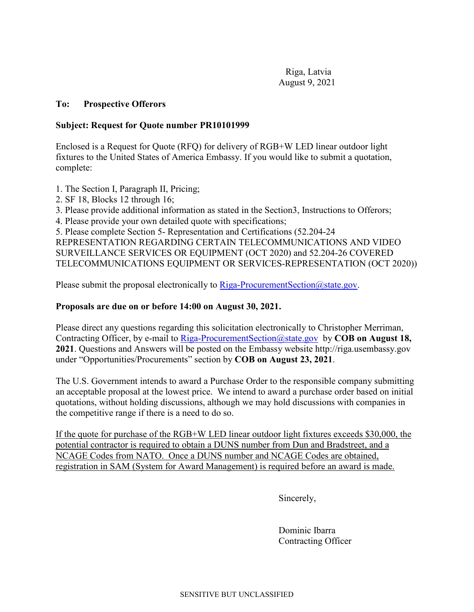Riga, Latvia August 9, 2021

## **To: Prospective Offerors**

## **Subject: Request for Quote number PR10101999**

Enclosed is a Request for Quote (RFQ) for delivery of RGB+W LED linear outdoor light fixtures to the United States of America Embassy. If you would like to submit a quotation, complete:

- 1. The Section I, Paragraph II, Pricing;
- 2. SF 18, Blocks 12 through 16;
- 3. Please provide additional information as stated in the Section3, Instructions to Offerors;
- 4. Please provide your own detailed quote with specifications;
- 5. Please complete Section 5- Representation and Certifications (52.204-24

REPRESENTATION REGARDING CERTAIN TELECOMMUNICATIONS AND VIDEO SURVEILLANCE SERVICES OR EQUIPMENT (OCT 2020) and 52.204-26 COVERED TELECOMMUNICATIONS EQUIPMENT OR SERVICES-REPRESENTATION (OCT 2020))

Please submit the proposal electronically to [Riga-ProcurementSection@state.gov.](mailto:Riga-ProcurementSection@state.gov)

## **Proposals are due on or before 14:00 on August 30, 2021.**

Please direct any questions regarding this solicitation electronically to Christopher Merriman, Contracting Officer, by e-mail to [Riga-ProcurementSection@state.gov](mailto:Riga-ProcurementSection@state.gov) by **COB** on August 18, **2021**. Questions and Answers will be posted on the Embassy website http://riga.usembassy.gov under "Opportunities/Procurements" section by **COB on August 23, 2021**.

The U.S. Government intends to award a Purchase Order to the responsible company submitting an acceptable proposal at the lowest price. We intend to award a purchase order based on initial quotations, without holding discussions, although we may hold discussions with companies in the competitive range if there is a need to do so.

If the quote for purchase of the RGB+W LED linear outdoor light fixtures exceeds \$30,000, the potential contractor is required to obtain a DUNS number from Dun and Bradstreet, and a NCAGE Codes from NATO. Once a DUNS number and NCAGE Codes are obtained, registration in SAM (System for Award Management) is required before an award is made.

Sincerely,

Dominic Ibarra Contracting Officer